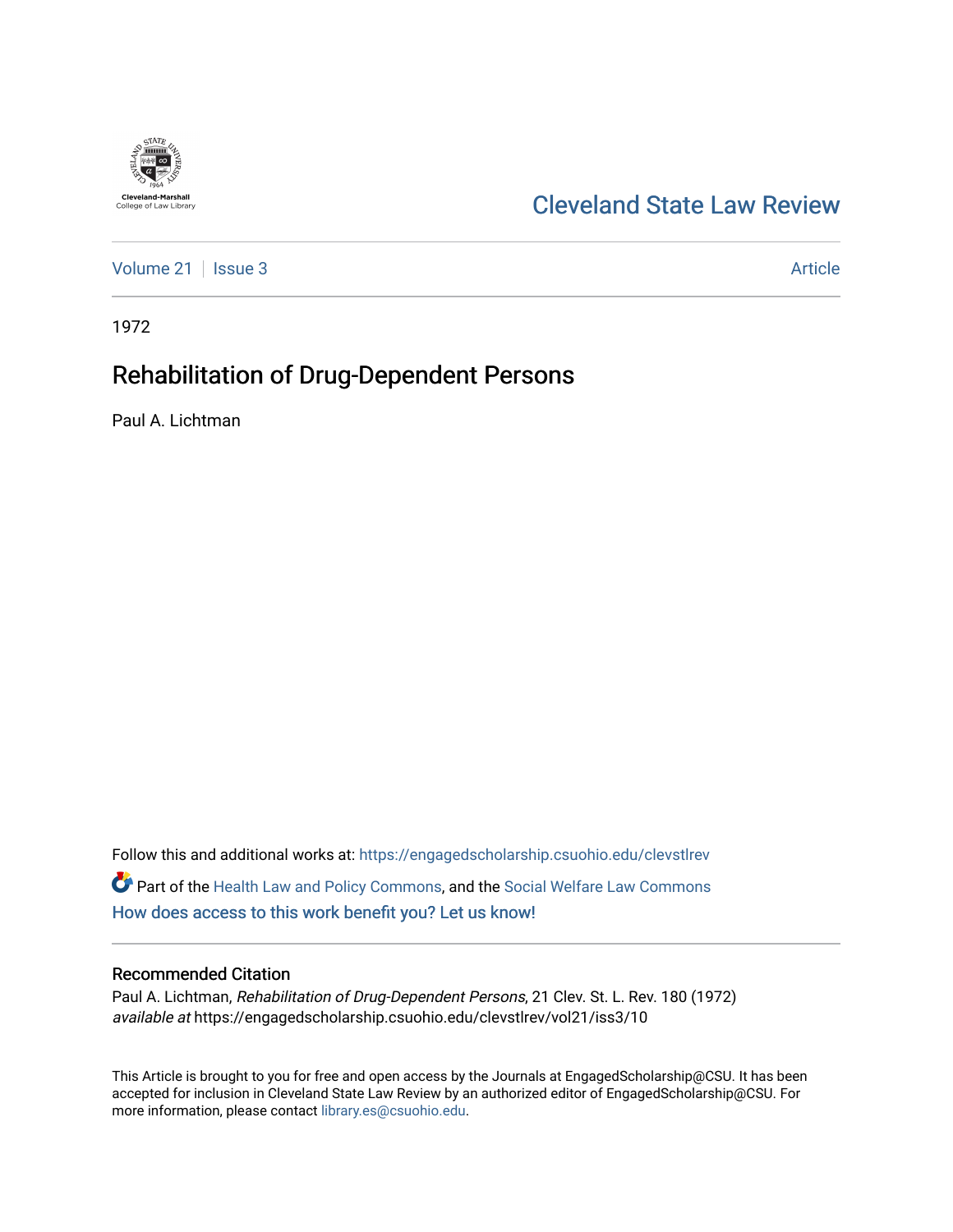

## [Cleveland State Law Review](https://engagedscholarship.csuohio.edu/clevstlrev)

[Volume 21](https://engagedscholarship.csuohio.edu/clevstlrev/vol21) | [Issue 3](https://engagedscholarship.csuohio.edu/clevstlrev/vol21/iss3) Article

1972

# Rehabilitation of Drug-Dependent Persons

Paul A. Lichtman

Follow this and additional works at: [https://engagedscholarship.csuohio.edu/clevstlrev](https://engagedscholarship.csuohio.edu/clevstlrev?utm_source=engagedscholarship.csuohio.edu%2Fclevstlrev%2Fvol21%2Fiss3%2F10&utm_medium=PDF&utm_campaign=PDFCoverPages) Part of the [Health Law and Policy Commons](http://network.bepress.com/hgg/discipline/901?utm_source=engagedscholarship.csuohio.edu%2Fclevstlrev%2Fvol21%2Fiss3%2F10&utm_medium=PDF&utm_campaign=PDFCoverPages), and the [Social Welfare Law Commons](http://network.bepress.com/hgg/discipline/878?utm_source=engagedscholarship.csuohio.edu%2Fclevstlrev%2Fvol21%2Fiss3%2F10&utm_medium=PDF&utm_campaign=PDFCoverPages) [How does access to this work benefit you? Let us know!](http://library.csuohio.edu/engaged/)

### Recommended Citation

Paul A. Lichtman, Rehabilitation of Drug-Dependent Persons, 21 Clev. St. L. Rev. 180 (1972) available at https://engagedscholarship.csuohio.edu/clevstlrev/vol21/iss3/10

This Article is brought to you for free and open access by the Journals at EngagedScholarship@CSU. It has been accepted for inclusion in Cleveland State Law Review by an authorized editor of EngagedScholarship@CSU. For more information, please contact [library.es@csuohio.edu](mailto:library.es@csuohio.edu).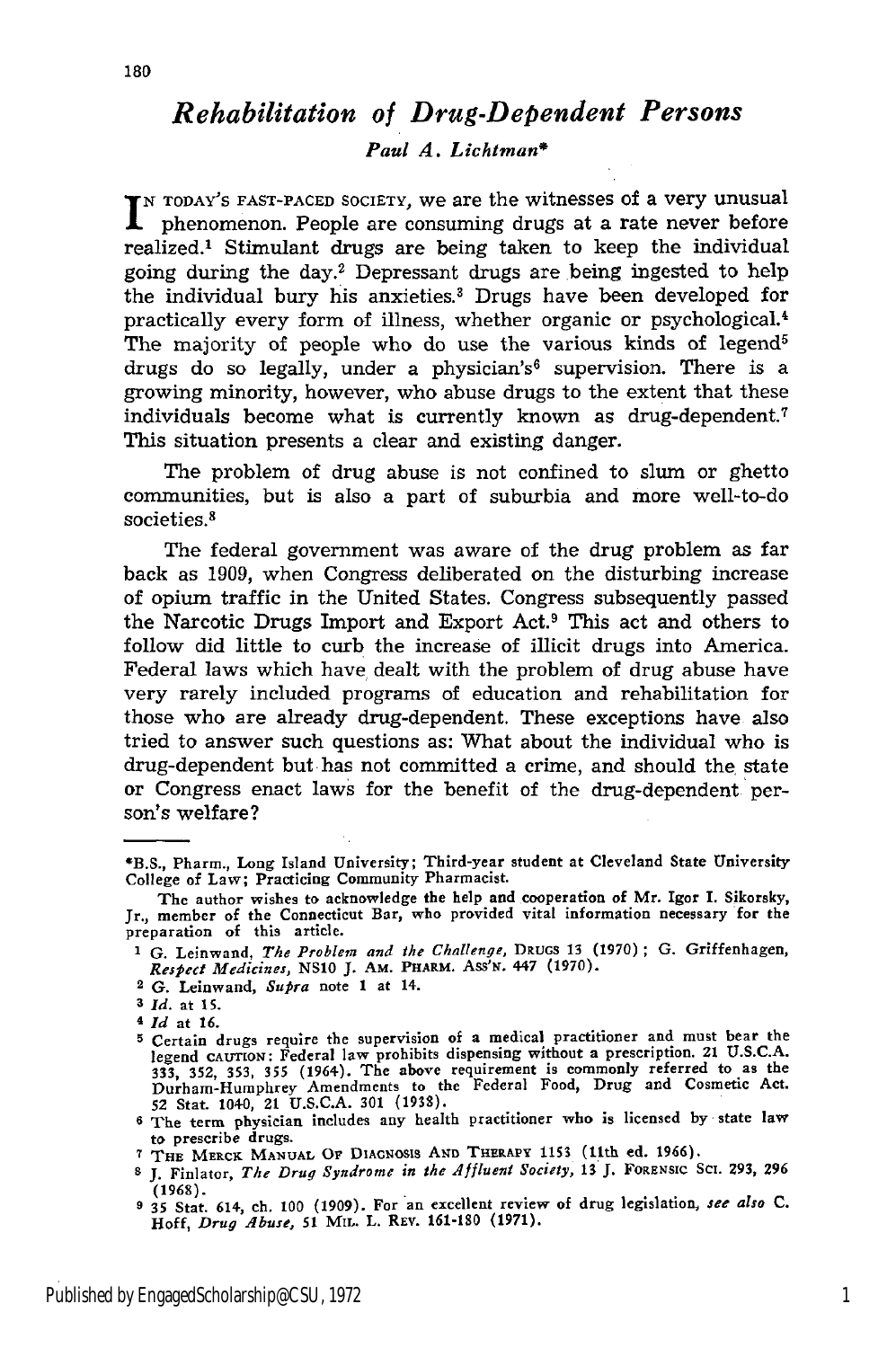### *Rehabilitation of Drug-Dependent Persons Paul A. Lichtman\**

*<sup>N</sup>*TODAY'S **FAST-PACED** SOCIETY, we are the witnesses of a very unusual phenomenon. People are consuming drugs at a rate never before realized.' Stimulant drugs are being taken to keep the individual going during the day.2 Depressant drugs are being ingested to help the individual bury his anxieties.<sup>3</sup> Drugs have been developed for practically every form of illness, whether organic or psychological.' The majority of people who do use the various kinds of legend<sup>5</sup> drugs do so legally, under a physician's<sup>6</sup> supervision. There is a growing minority, however, who abuse drugs to the extent that these individuals become what is currently known as drug-dependent.<sup>7</sup> This situation presents a clear and existing danger.

The problem of drug abuse is not confined to slum or ghetto communities, but is also a part of suburbia and more well-to-do societies.<sup>8</sup>

The federal government was aware of the drug problem as far back as 1909, when Congress deliberated on the disturbing increase of opium traffic in the United States. Congress subsequently passed the Narcotic Drugs Import and Export Act.9 This act and others to follow did little to curb the increase of illicit drugs into America. Federal laws which have dealt with the problem of drug abuse have very rarely included programs of education and rehabilitation for those who are already drug-dependent. These exceptions have also tried to answer such questions as: What about the individual who is drug-dependent but has not committed a crime, and should the state or Congress enact laws for the benefit of the drug-dependent person's welfare?

- **5** Certain drugs require the supervision of a medical practitioner and must bear the beyond CAUTION: Federal law prohibits dispensing without a prescription. 21 U.S.C.A<br>333, 352, 353, 355 (1964). The above requirement is commonly referred to as the<br>Durham-Humphrey Amendments to the Federal Food, Drug and C
- **6** The term physician includes any health practitioner who is licensed **by** state law to prescribe drugs.

<sup>\*</sup>B.S., Pharm., Long Island University; Third-year student at Cleveland State University College of Law; Practicing Community Pharmacist.

The author wishes to acknowledge the help and cooperation of Mr. Igor I. Sikorsky, Jr., member of the Connecticut Bar, who provided vital information necessary for the preparation of this article.

**<sup>I</sup>**G. Leinwand, *The Problem and the Challenge,* **DRUGS** 13 (1970) **;** G. Griffenhagen, *Respect Medicines,* NS10 **J. AM. PHARM.** *Ass'WN.* 447 **(1970).**

<sup>2</sup> G. Leinwand, *Supra* note 1 at 14.

**<sup>3</sup>** *Id.* at **15.**

**<sup>4</sup>** *Id* at **16.**

**<sup>7</sup>** THE MERCK **MANUAL OF** DIAGNOSIS Aqn **THERAPY 1153 (11th ed. 1966).**

**<sup>8</sup> J.** Finlator, *The Drug Syndrome in the Affluent Society,* 13 **J, FORENSIC SCI. 293, 296 (1968).**

**<sup>9 35</sup>** Stat. 614, ch. 100 (1909). For an excellent review of drug legislation, *see also C.* Hoff, *Drug Abuse, 51* MIL. L. REv. **161-180** (1971).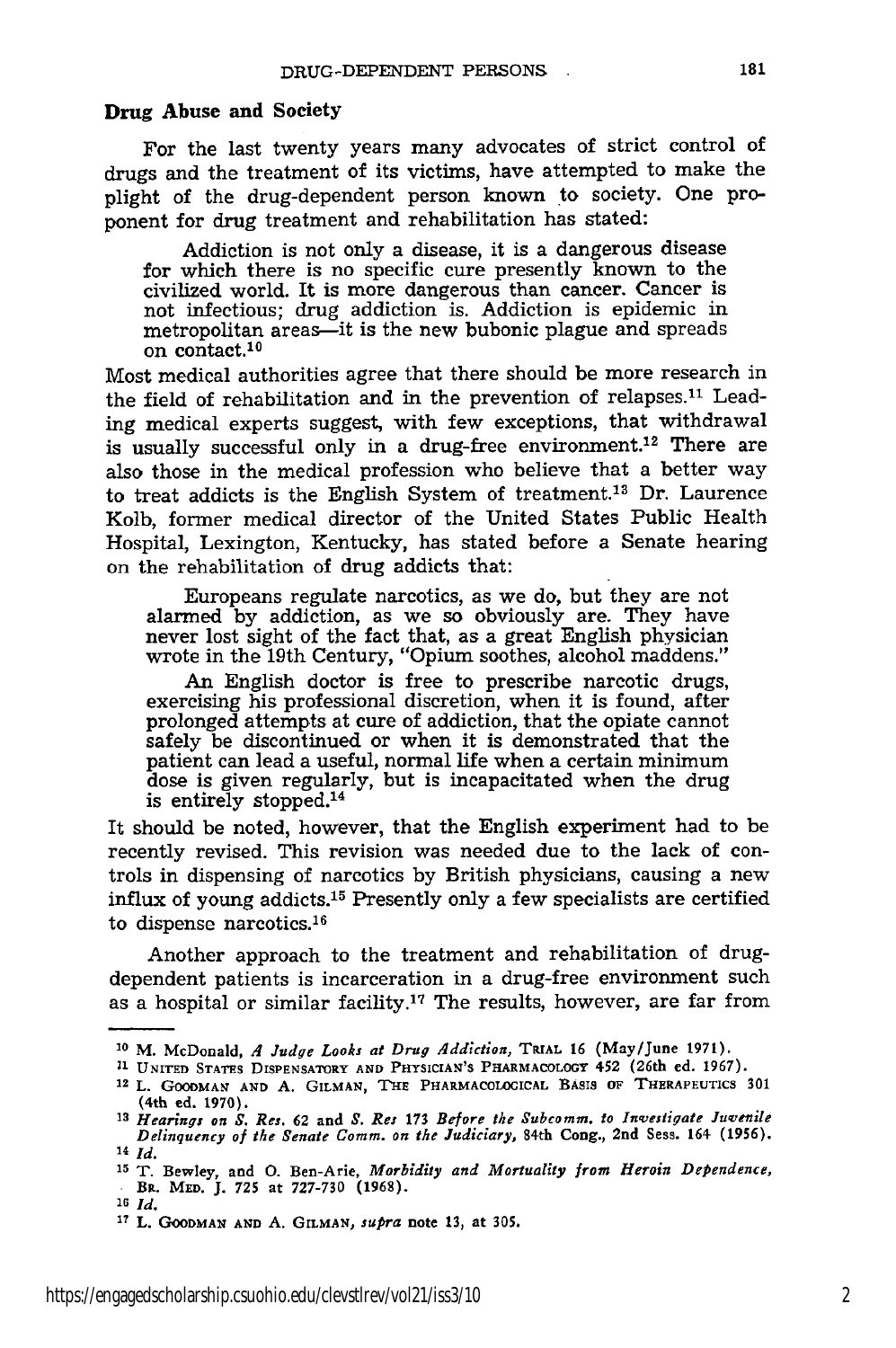#### **Drug Abuse and Society**

**For** the last twenty years many advocates of strict control of drugs and the treatment of its victims, have attempted to make the plight of the drug-dependent person known to society. One proponent for drug treatment and rehabilitation has stated:

Addiction is not only a disease, it is a dangerous disease for which there is no specific cure presently known to the civilized world. It is more dangerous than cancer. Cancer is not infectious; drug addiction is. Addiction is epidemic in metropolitan areas—it is the new bubonic plague and spreads on contact.<sup>10</sup>

Most medical authorities agree that there should be more research in the field of rehabilitation and in the prevention of relapses.<sup>11</sup> Leading medical experts suggest, with few exceptions, that withdrawal is usually successful only in a drug-free environment.<sup>12</sup> There are also those in the medical profession who believe that a better way to treat addicts is the English System of treatment.<sup>13</sup> Dr. Laurence Kolb, former medical director of the United States Public Health Hospital, Lexington, Kentucky, has stated before a Senate hearing on the rehabilitation of drug addicts that:

Europeans regulate narcotics, as we do, but they are not alarmed by addiction, as we so obviously are. They have never lost sight of the fact that, as a great English physician wrote in the 19th Century, "Opium soothes, alcohol maddens."

An English doctor is free to prescribe narcotic drugs exercising his professional discretion, when it is found, after prolonged attempts at cure of addiction, that the opiate cannot safely be discontinued or when it is demonstrated that the patient can lead a useful, normal life when a certain minimum dose is given regularly, but is incapacitated when the drug is entirely stopped. <sup>14</sup>

It should be noted, however, that the English experiment had to be recently revised. This revision was needed due to the lack of controls in dispensing of narcotics by British physicians, causing a new influx of young addicts.15 Presently only a few specialists are certified to dispense narcotics.<sup>16</sup>

Another approach to the treatment and rehabilitation of drugdependent patients is incarceration in a drug-free environment such as a hospital or similar facility.<sup>17</sup> The results, however, are far from

**<sup>&#</sup>x27;0** M. McDonald, *A Judge Looks at Drug Addiction,* TRIAL **16** (May/June 1971).

**<sup>11</sup> UNITED STATES DISPENSATORY AND PHYSICIAN'S PHARMACOLOGY** 452 (26th **ed. 1967).**

<sup>12</sup> L. **GOODMAN AND A. GILMAN, THE PHARMACOLOGICAL BASIS OF THERAPEUTICS 301 (4th ed. 1970).**

**<sup>13</sup>***Hearings on S. Res.* **62** and *S. Res* 173 *Before the Subcomm. to Investigate Juvenile Delinquency of the Senate Comm. on the Judiciary,* 84th Cong., 2nd Sess. 164- (1956). **14** *Id.*

**<sup>15</sup>**T. Bewley, and **0.** Ben-Arie, *Morbidity and Mortuality from Heroin Dependence, BR.* MED. J. **725** at 727-730 **(1968).**

*<sup>16</sup>Id.*

**<sup>17</sup>**L. **GOODMAN AND A.** GILMAN, *supra* note 13, at **305.**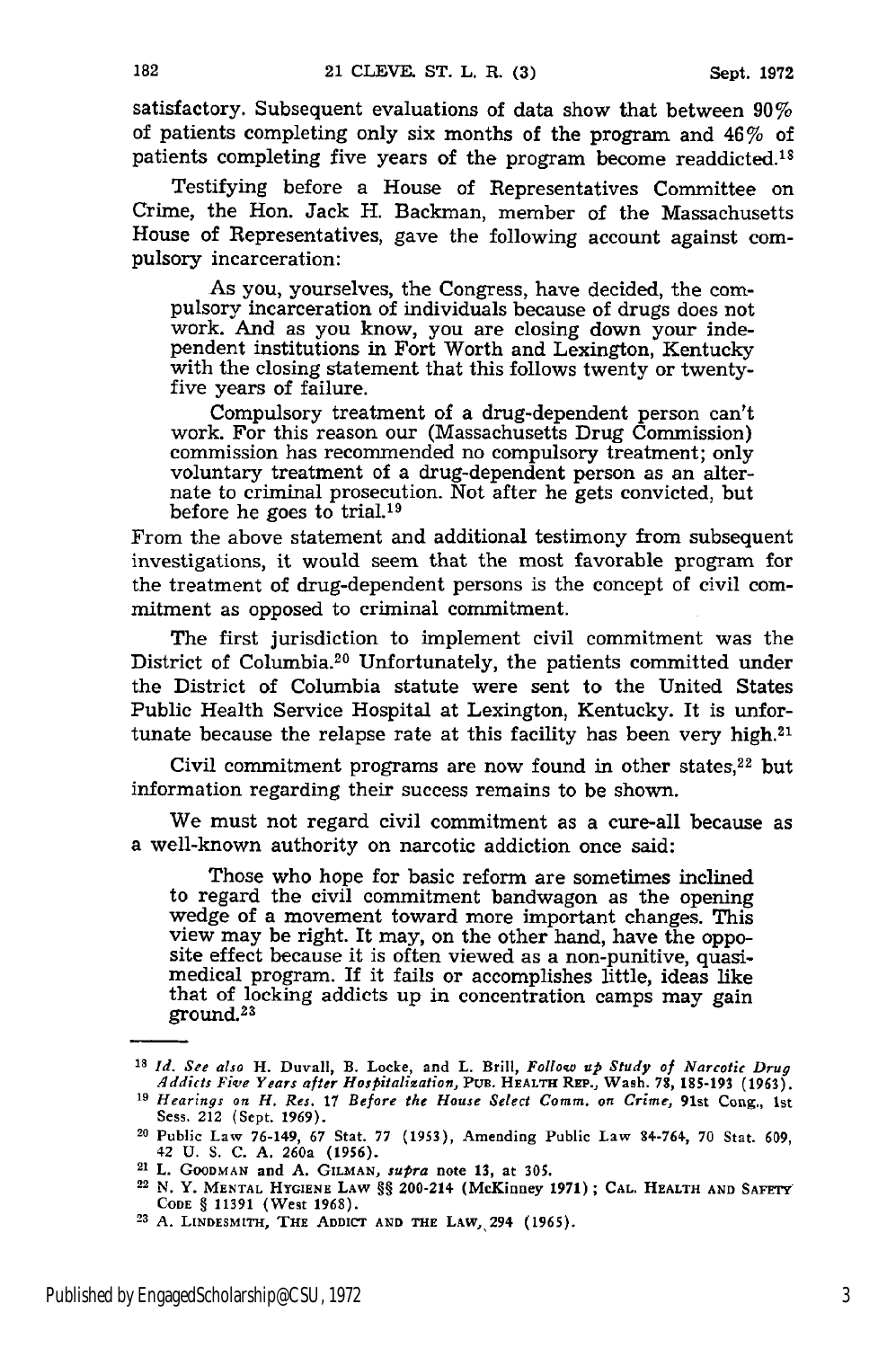satisfactory. Subsequent evaluations of data show that between 90% of patients completing only six months of the program and 46% of patients completing five years of the program become readdicted.18

Testifying before a House of Representatives Committee on Crime, the Hon. Jack H. Backman, member of the Massachusetts House of Representatives, gave the following account against compulsory incarceration:

As you, yourselves, the Congress, have decided, the compulsory incarceration of individuals because of drugs does not work. And as you know, you are closing down your independent institutions in Fort Worth and Lexington, Kentucky with the closing statement that this follows twenty or twenty-<br>five years of failure.

Compulsory treatment of a drug-dependent person can't work. For this reason our (Massachusetts Drug Commission) commission has recommended no compulsory treatment; only voluntary treatment of a drug-dependent person as an alternate to criminal prosecution. Not after he gets convicted, but before he goes to trial.19

From the above statement and additional testimony from subsequent investigations, it would seem that the most favorable program for the treatment of drug-dependent persons is the concept of civil commitment as opposed to criminal commitment.

The first jurisdiction to implement civil commitment was the District of Columbia.<sup>20</sup> Unfortunately, the patients committed under the District of Columbia statute were sent to the United States Public Health Service Hospital at Lexington, Kentucky. It is unfortunate because the relapse rate at this facility has been very high. $21$ 

Civil commitment programs are now found in other states, $22$  but information regarding their success remains to be shown.

We must not regard civil commitment as a cure-all because as a well-known authority on narcotic addiction once said:

Those who hope for basic reform are sometimes inclined to regard the civil commitment bandwagon as the opening wedge of a movement toward more important changes. This view may be right. It may, on the other hand, have the opposite effect because it is often viewed as a non-punitive, quasi-<br>medical program. If it fails or accomplishes little, ideas like that of locking addicts up in concentration camps may gain ground.<sup>23</sup>

**<sup>18</sup>** *Id. See also* H. Duvall, B. Locke, and L. Brill, *Follow up Study of Narcotic Drug* Addicts Five Years after Hospitalization, PUB. HEALTH REP., Wash. 78, 185-193 (1963).<br><sup>19</sup> Hearings on H. Res. 17 Before the House Select Comm. on Crime, 91st Cong., 1st

Sess. 212 (Sept. 1969).

<sup>20</sup> Public **Law 76-149, 67** Stat. **77 (1953),** Amending **Public Law** 84-764, **70 Stat. 609,** 42 **U. S. C. A.** 260a **(1956).**

**<sup>21</sup> L. GOODMAN and A. GILMAN,** *supra* note **13,** at **305.**

**<sup>22</sup> N.** Y. **MENTAL HYGIENE LAW** §§ **200-214** (McKinney **1971); CAL. HEALTH AND SAFETY CODE** § 11391 (West 1968). **23 A. LINDESMITH, THE ADDICT AND THE** LAW,,294 **(1965).**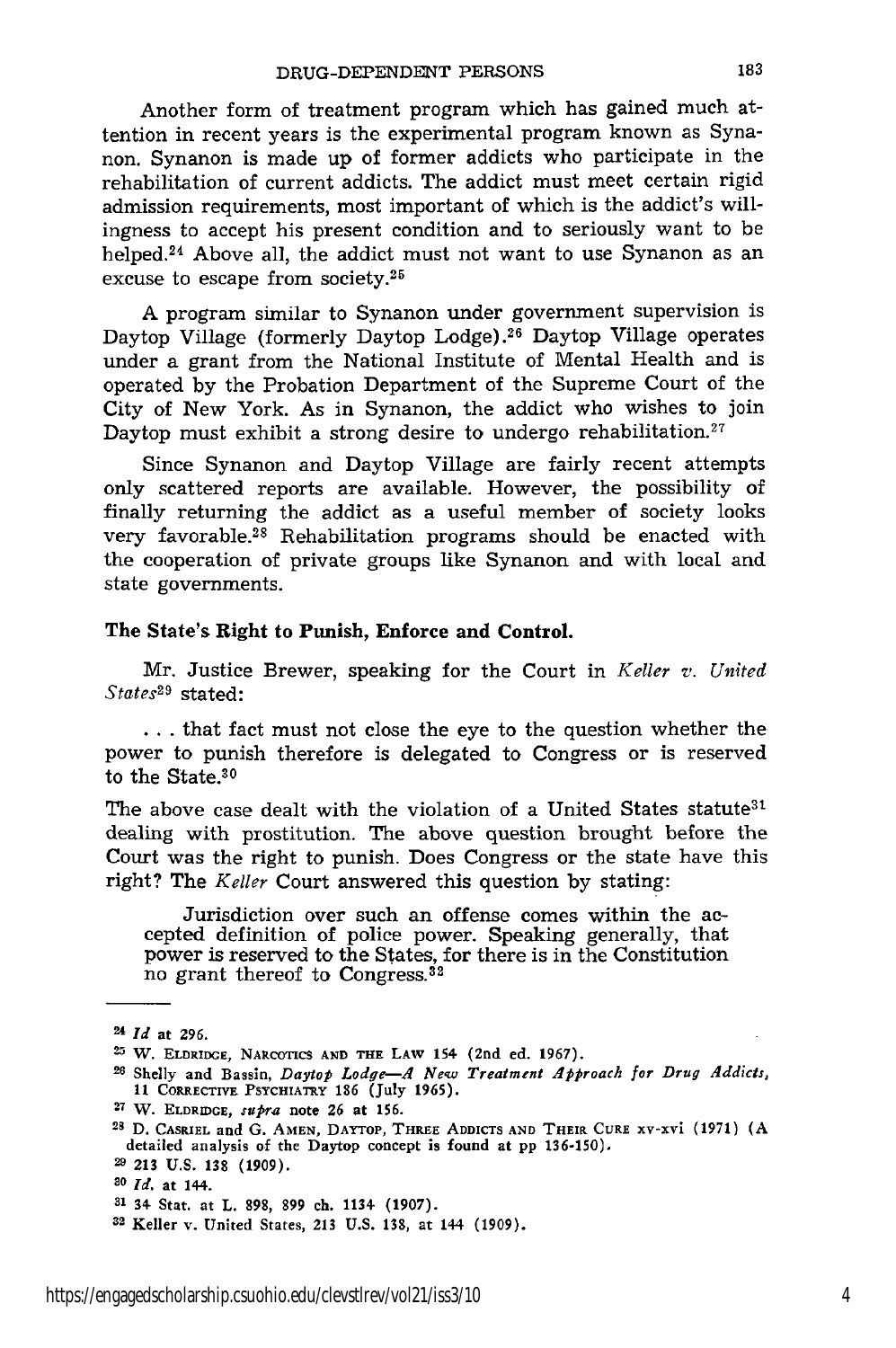Another form of treatment program which has gained much attention in recent years is the experimental program known as Synanon. Synanon is made up of former addicts who participate in the rehabilitation of current addicts. The addict must meet certain rigid admission requirements, most important of which is the addict's willingness to accept his present condition and to seriously want to be helped.<sup>24</sup> Above all, the addict must not want to use Synanon as an excuse to escape from society.<sup>25</sup>

A program similar to Synanon under government supervision is Daytop Village (formerly Daytop Lodge).26 Daytop Village operates under a grant from the National Institute of Mental Health and is operated by the Probation Department of the Supreme Court of the City of New York. As in Synanon, the addict who wishes to join Daytop must exhibit a strong desire to undergo rehabilitation.<sup>27</sup>

Since Synanon and Daytop Village are fairly recent attempts only scattered reports are available. However, the possibility of finally returning the addict as a useful member of society looks very favorable.28 Rehabilitation programs should be enacted with the cooperation of private groups like Synanon and with local and state governments.

#### **The State's Right to Punish, Enforce and Control.**

Mr. Justice Brewer, speaking for the Court in *Keller v. United States29* stated:

**...** that fact must not close the eye to the question whether the power to punish therefore is delegated to Congress or is reserved to the State.30

The above case dealt with the violation of a United States statute<sup>31</sup> dealing with prostitution. The above question brought before the Court was the right to punish. Does Congress or the state have this right? The *Keller* Court answered this question by stating:

Jurisdiction over such an offense comes within the accepted definition of police power. Speaking generally, that power is reserved to the States, for there is in the Constitution no grant thereof to Congress.32

**27 W. ELDRIDGE,** *supra* note **26 at 156.**

**<sup>24</sup>** Id at **296.**

<sup>2&</sup>quot; **W. ELDRIDGE, NARCOTICS AND THE LAW** 154 **(2nd ed. 1967).**

**<sup>26</sup>**Shelly **and Bassin,** *Daylop Lodge-A New Treatment Approach for Drug Addicts,* **11** CORRECTIVE **PSYCHIATRY 186 (July 1965).**

**<sup>25</sup> D. CASRIEL** and **G. AMEN,** DAYTOP, THREE **ADDICTS AND THEIR** CURE XV-XVi (1971) **(A** detailed analysis of the **Daytop concept is found at pp 136-150).**

**<sup>29</sup> 213 U.S. 138 (1909).**

*<sup>20</sup> Id.* at 144.

**<sup>31 34</sup>** Stat. at L. **898, 899 ch.** 1134 **(1907).**

<sup>32</sup> Keller v. United States, **213 U.S.** 138, at 144 (1909).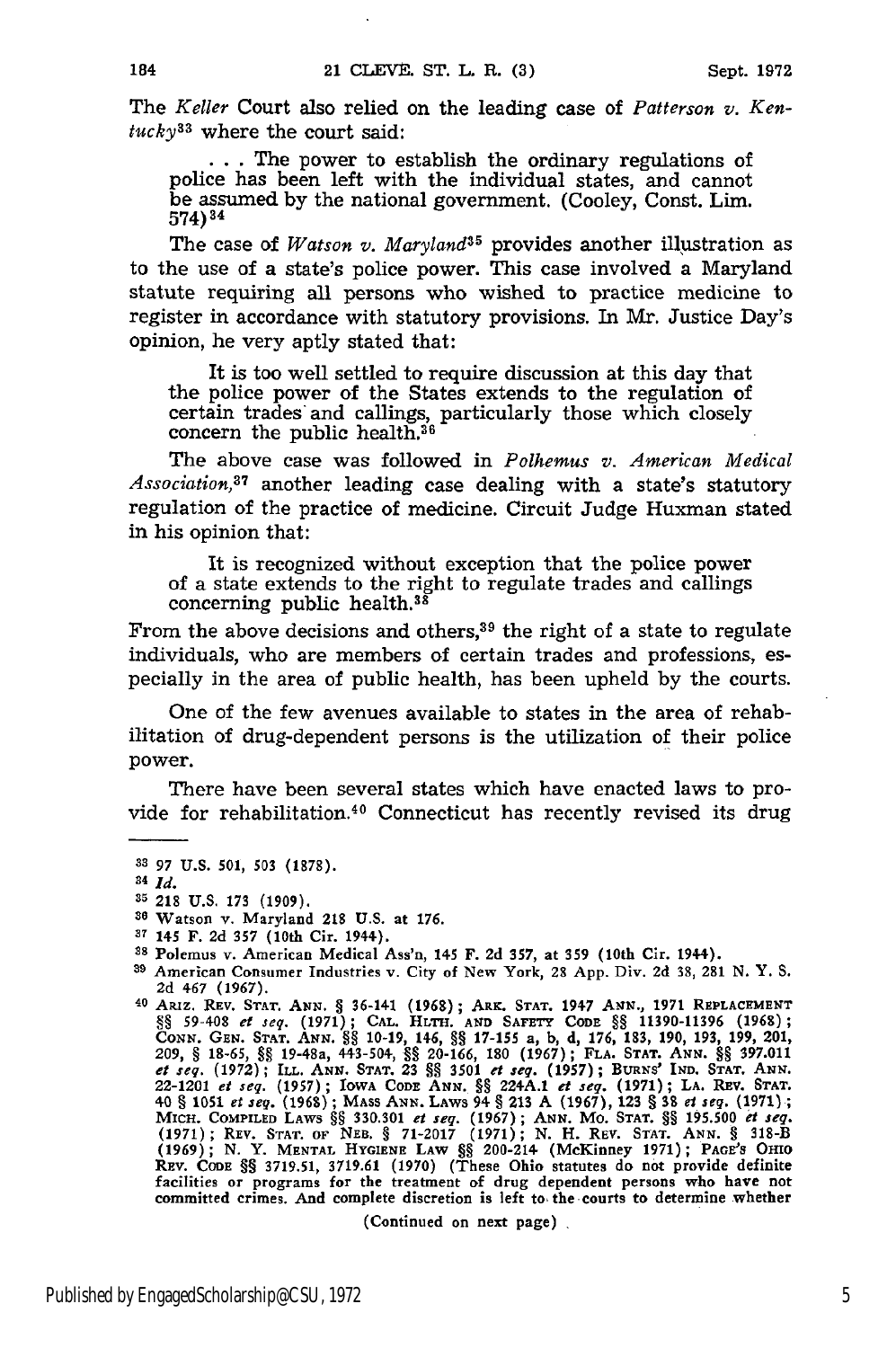The *Keller* Court also relied on the leading case of *Patterson v. Ken*tucky<sup>33</sup> where the court said:

... The power to establish the ordinary regulations of police has been left with the individual states, and cannot be assumed **by** the national government. (Cooley, Const. Lim. 574)34

The case of *Watson v. Maryland35* provides another illustration as to the use of a state's police power. This case involved a Maryland statute requiring all persons who wished to practice medicine to register in accordance with statutory provisions. In Mr. Justice Day's opinion, he very aptly stated that:

It is too well settled to require discussion at this day that the police power of the States extends to the regulation of certain trades and callings, particularly those which closely concern the public health. $36$ 

The above case was followed in *Polhemus v. American Medical Associaton,37* another leading case dealing with a state's statutory regulation of the practice of medicine. Circuit Judge Huxman stated in his opinion that:

It is recognized without exception that the police power of a state extends to the right to regulate trades and callings concerning public health.<sup>38</sup>

From the above decisions and others, $39$  the right of a state to regulate individuals, who are members of certain trades and professions, especially in the area of public health, has been upheld **by** the courts.

One of the few avenues available to states in the area of rehabilitation of drug-dependent persons is the utilization of their police power.

There have been several states which have enacted laws to provide for rehabilitation.<sup>40</sup> Connecticut has recently revised its drug

(Continued **on next page)**

**<sup>83</sup> 97 U.S. 501, 503 (1878).**

**<sup>84</sup>** *Id.*

**<sup>35 218</sup> U.S. 173 (1909).**

**<sup>30</sup>**Watson v. Maryland 218 **U.S.** at **176.**

**<sup>37</sup>**145 F. **2d 357** (10th Cir. 1944). **<sup>38</sup>**Polemus v. American Medical Ass'n, 145 F. **2d 357,** at **359** (10th Cir. 1944).

**<sup>39</sup>** American Consumer Industries v. City of **New York, 28 App. Div. 2d 38, 281 N. Y. S. 2d** 467 **(1967).** 40 Aaiz. REV. STAr. **ANN. § 36-141 (1968); ARK.** STAT. 1947 **ANN., 1971** REPLACEMENT

<sup>§§ 59-408</sup> et seg. (1971); CAL. HLTH. AND SAFETY CODE §§ 11390-11396 (1968);<br>CONN. GEN. STAT. ANN. §§ 10-19, 146, §§ 17-155 a, b, d, 176, 183, 190, 193, 199, 201<br>209, § 18-65, §§ 19-48a, 443-504, §§ 20-166, 180 (1967); FLA. et seg. (1972); ILL. ANN. STAT. 23 §§ 3501 et seg. (1957); BURNS' IND. STAT. ANN.<br>22-1201 et seg. (1957); IOWA CODE ANN. §§ 224A.1 et seg. (1971); La. REV. STAT.<br>40 § 1051 et seg. (1968); MASS ANN. LAWS 94 § 213 A (1967), (1971); REV. STAT. OF NEB. § 71-2017 (1971); N. H. REV. STAT. ANN. § 318-B (1969); N. Y. MENTAL HYGIENE LAW §§ 200-214 (McKinney 1971); PAGE'S OHIO<br>REV. CODE §§ 3719.51, 3719.61 (1970) (These Ohio statutes do not provide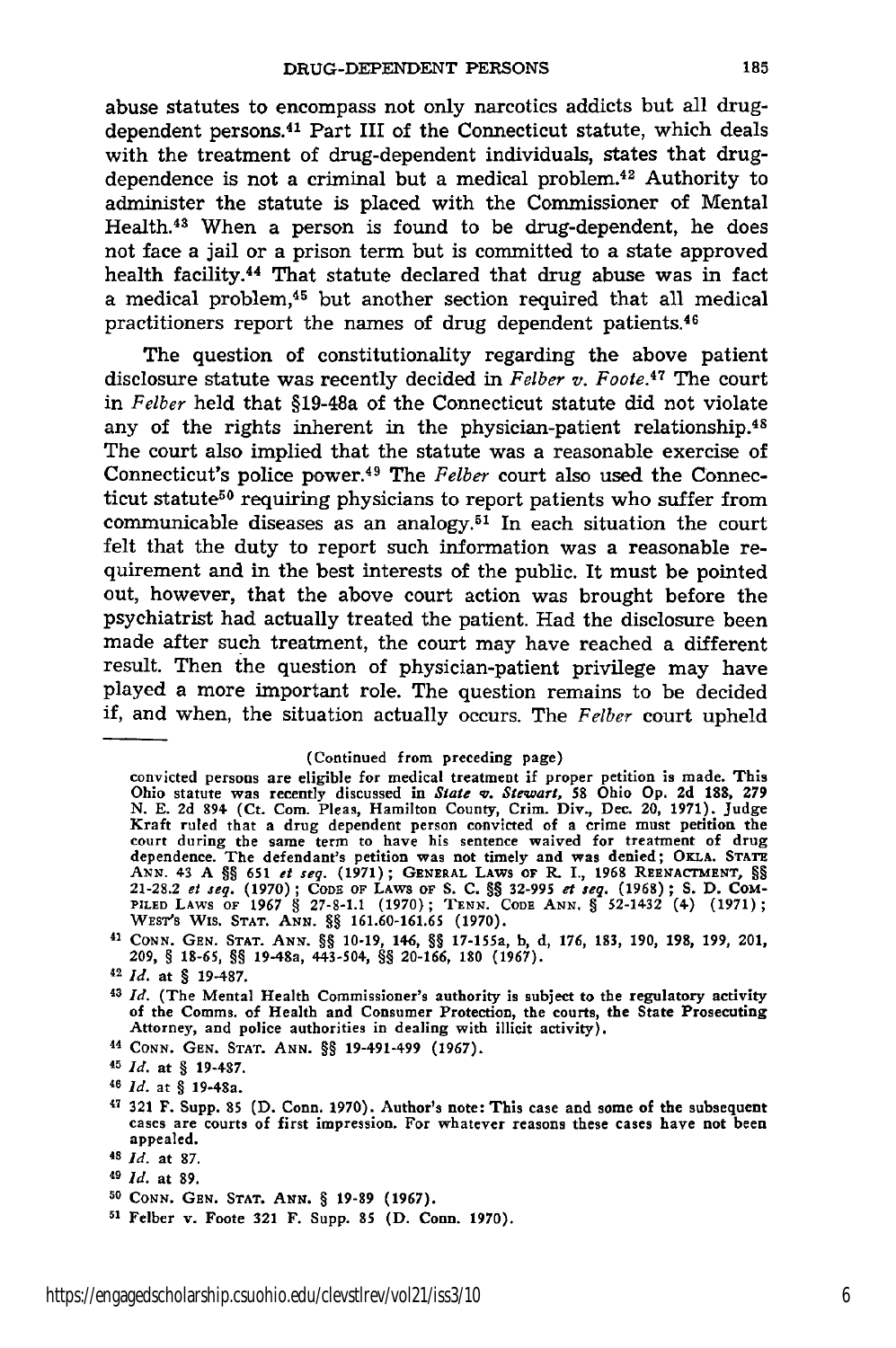abuse statutes to encompass not only narcotics addicts but all drugdependent persons.41 Part III of the Connecticut statute, which deals with the treatment of drug-dependent individuals, states that drugdependence is not a criminal but a medical problem.42 Authority to administer the statute is placed with the Commissioner of Mental Health. 48 When a person is found to be drug-dependent, he does not face a jail or a prison term but is committed to a state approved health facility.<sup>44</sup> That statute declared that drug abuse was in fact a medical problem,45 but another section required that all medical practitioners report the names of drug dependent patients. $46$ 

The question of constitutionality regarding the above patient disclosure statute was recently decided in *Felber v. Foote.4 7* The court in *Felber* held that §19-48a of the Connecticut statute did not violate any of the rights inherent in the physician-patient relationship.<sup>48</sup> The court also implied that the statute was a reasonable exercise of Connecticut's police power.49 The *Felber* court also used the Connecticut statute<sup>50</sup> requiring physicians to report patients who suffer from communicable diseases as an analogy.<sup>51</sup> In each situation the court felt that the duty to report such information was a reasonable requirement and in the best interests of the public. It must be pointed out, however, that the above court action was brought before the psychiatrist had actually treated the patient. Had the disclosure been made after such treatment, the court may have reached a different result. Then the question of physician-patient privilege may have played a more important role. The question remains to be decided if, and when, the situation actually occurs. The *Felber* court upheld

*<sup>44</sup>***CONN. GEN. STAT. ANN.** §§ 19-491-499 **(1967).**

<sup>(</sup>Continued from preceding page)

convicted persons are eligible for medical treatment if proper petition is made. This Ohio statute was recently discussed in State v. Stewart, 58 Ohio Op. 2d 188, 279 N. E. 2d 894 (Ct. Com. Pleas, Hamilton County, Crim. Div., Dec. 20, 1971). Judge Kraft ruled that a drug dependent person convicted of a crim **ANN.** 43 A **§§ 651** *et seq.* (1971); GENERAL LAWS OF R. I., 1968 REENAcTMENT, §§ 21-28.2 et seq. (1970); CODE OF LAWS OF S. C. §§ 32-995 et seq. (1968); S. D. COM<br>PILED LAWS OF 1967 § 27-8-1.1 (1970); TENN. CODE ANN. § 52-1432 (4) (1971); WEST'S **WIS. STAT. ANN.** 8§ 161.60-161.65 **(1970).**

<sup>41</sup> **CONN. GEN. STAT. ANN.** §§ 10-19, 146, §§ **17-155a, b, d,** 176, **183,** 190, **198,** 199, 201, **209,** § **18-65, §§ 19-48a, 443-504, §§ 20-166, 180 (1967).**

<sup>42</sup>*Id.* at § **19-487.**

*<sup>43</sup>Id.* (The Mental Health Commissioner's **authority** is **subject to the** regulatory activity **of** the Comms. **of Health and Consumer** Protection, the **courts, the** State **Prosecuting** Attorney, **and** police authorities **in dealing** with **illicit** activity).

<sup>45</sup>*Id.* at § **19-487.**

<sup>46</sup>*Id.* at § 19-48a.

**<sup>17 321</sup> F. Supp. 85 (D. Conn. 1970).** Author's note: This case **and some of the** subsequent cases are courts **of first impression. For** whatever reasons these cases have **not been** appealed.

<sup>48</sup>*Id.* at **87.**

*<sup>49</sup> Id.* **at 89.**

**<sup>50</sup> CONN.** GEN. **STAT.** *ANN.* § **19-89** (1967).

**<sup>51</sup> Felber v. Foote 321 F. Supp. 85 (D. Conn. 1970).**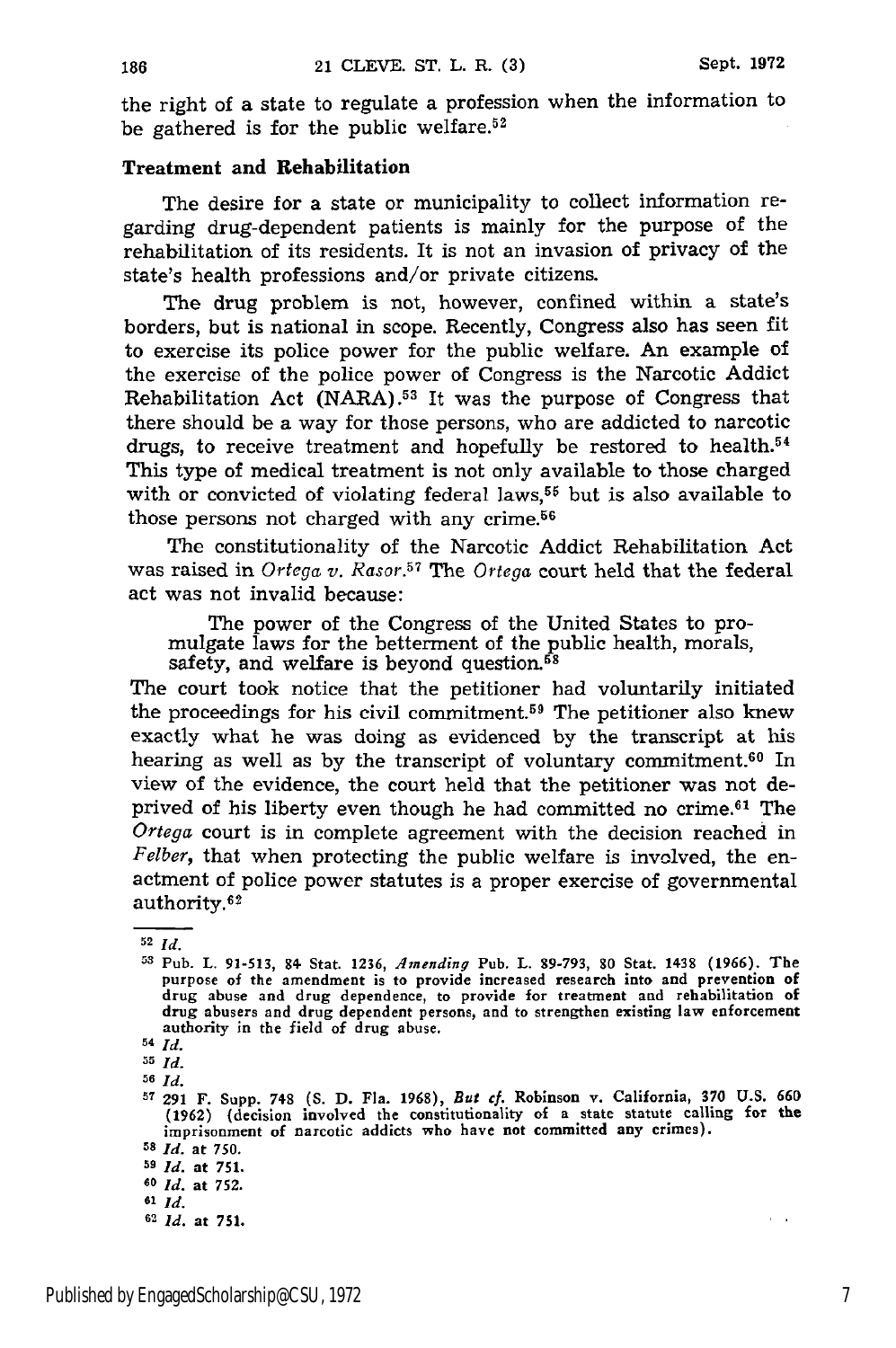the right of a state to regulate a profession when the information to be gathered is for the public welfare.<sup>52</sup>

#### Treatment and Rehabilitation

The desire for a state or municipality to collect information regarding drug-dependent patients is mainly for the purpose of the rehabilitation of its residents. It is not an invasion of privacy of the state's health professions and/or private citizens.

The drug problem is not, however, confined within a state's borders, but is national in scope. Recently, Congress also has seen fit to exercise its police power for the public welfare. An example of the exercise of the police power of Congress is the Narcotic Addict Rehabilitation Act (NARA).<sup>53</sup> It was the purpose of Congress that there should be a way for those persons, who are addicted to narcotic drugs, to receive treatment and hopefully be restored to health. $54$ This type of medical treatment is not only available to those charged with or convicted of violating federal laws,<sup>55</sup> but is also available to those persons not charged with any crime.56

The constitutionality of the Narcotic Addict Rehabilitation Act was raised in *Ortega v. Rasor.*<sup>57</sup> The *Ortega* court held that the federal act was not invalid because:

The power of the Congress of the United States to pro- mulgate laws for the betterment of the public health, morals, safety, and welfare is beyond question. $58$ 

The court took notice that the petitioner had voluntarily initiated the proceedings for his civil commitment.59 The petitioner also knew exactly what he was doing as evidenced by the transcript at his hearing as well as by the transcript of voluntary commitment.<sup>60</sup> In view of the evidence, the court held that the petitioner was not deprived of his liberty even though he had committed no crime.61 The *Ortega* court is in complete agreement with the decision reached in *Felber,* that when protecting the public welfare is involved, the enactment of police power statutes is a proper exercise of governmental authority.<sup>62</sup>

*55 Id.*

**56** *Id.*

**<sup>52</sup>***Id.*

**<sup>53</sup>**Pub. L. **91-513,** 84- Stat. **1236,** *Amending* Pub. L. **89-793, 80** Stat. 1438 (1966). The purpose of the amendment is to provide increased research into and prevention of drug abuse and drug dependence, to provide for treatment and rehabilitation of drug abusers and drug dependent persons, and to strengthen existing law enforcement authority in the field of drug abuse.

*<sup>54</sup> Id.*

**<sup>57 291</sup>** F. Supp. **748 (S. D.** Fla. 1968), *But cf.* Robinson v. California, **370 U.S. 660** (1962) (decision involved the constitutionality of a state statute calling **for** the imprisonment of narcotic addicts who have not committed any crimes).

**<sup>5</sup>** *Id.* at **750.**

**<sup>59</sup>***Id.* at **751.**

**<sup>60</sup> id.** at **752. <sup>61</sup>***Id.*

*<sup>6&#</sup>x27; Id.* at 751.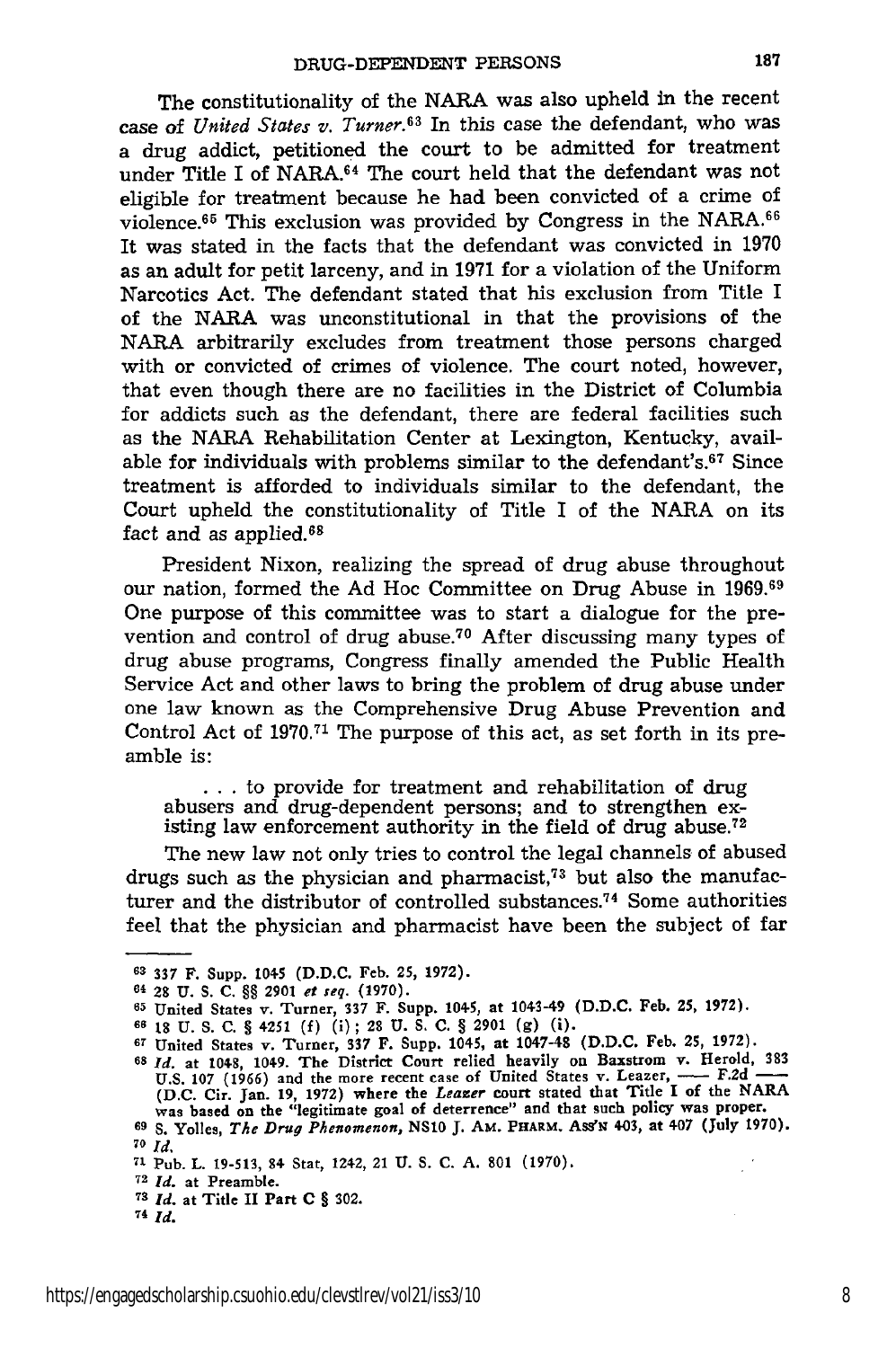The constitutionality of the **NARA** was also upheld in the recent case of *United States v. Turner.63* In this case the defendant, who was a drug addict, petitioned the court to be admitted for treatment under Title I of NARA.<sup>64</sup> The court held that the defendant was not eligible for treatment because he had been convicted of a crime of violence.<sup>65</sup> This exclusion was provided by Congress in the NARA.<sup>66</sup> It was stated in the facts that the defendant was convicted in **1970** as an adult for petit larceny, and in 1971 for a violation of the Uniform Narcotics Act. The defendant stated that his exclusion from Title I of the **NARA** was unconstitutional in that the provisions of the **NARA** arbitrarily excludes from treatment those persons charged with or convicted of crimes of violence. The court noted, however, that even though there are no facilities in the District of Columbia for addicts such as the defendant, there are federal facilities such as the **NARA** Rehabilitation Center at Lexington, Kentucky, available for individuals with problems similar to the defendant's.<sup>67</sup> Since treatment is afforded to individuals similar to the defendant, the Court upheld the constitutionality of Title I of the NARA on its fact and as applied.<sup>68</sup>

President Nixon, realizing the spread of drug abuse throughout our nation, formed the Ad Hoc Committee on Drug Abuse in 1969.69 One purpose of this committee was to start a dialogue for the prevention and control of drug abuse.70 After discussing many types of drug abuse programs, Congress finally amended the Public Health Service Act and other laws to bring the problem of drug abuse under one law known as the Comprehensive Drug Abuse Prevention and Control Act of 1970.<sup>71</sup> The purpose of this act, as set forth in its preamble is:

**...** to provide for treatment and rehabilitation of drug abusers and drug-dependent persons; and to strengthen existing law enforcement authority in the field of drug abuse.<sup>72</sup>

The new law not only tries to control the legal channels of abused drugs such as the physician and pharmacist, 73 but also the manufacturer and the distributor of controlled substances.<sup>74</sup> Some authorities feel that the physician and pharmacist have been the subject of far

**<sup>6 337</sup>** F. Supp. 1045 **(D.D.C.** Feb. **25, 1972).**

<sup>64 28</sup> **U. S. C.** §§ **2901** et *seq.* **(1970).**

**<sup>65</sup>**United States v. Turner, **337** F. Supp. 1045, at 1043-49 **(D.D.C.** Feb. **25, 1972).**

**<sup>66</sup> 18 U.** S. **C. §** 4251 **(f)** (i); 28 **U. S. C. § 2901 (g)** (i).

**<sup>67</sup>**United States v. Turner, **337 F.** Supp. 1045, at 1047-48 **(D.D.C. Feb.** 25, **1972).**

<sup>68</sup> Id. at 1048, 1049. The District Court relied heavily on Baxstrom v. Herold, 383 U.S. 107 (1966) and the more recent case of United States v. Leazer, — F.2d — (D.C. Cir. Jan. 19, 1972) where the Leazer court stated that Title I of the NARA (D.C. Cir. Jan. 19, 1972) where the Leazer court stated that Ti **<sup>69</sup>S.** Yolles, *The Drug Phenomenon, NS10* **J.** AM. **PHARM. Ass'N** 403, at 407 (July **1970).**

**<sup>70</sup>** *Id.*

**<sup>71</sup>** Pub. L. 19-513, 84 Stat, 1242, 21 **U.** S. **C. A. 801** (1970).

**<sup>72</sup>***Id.* at Preamble.

**<sup>73</sup>***Id.* at Title II Part **C** § 302.

**<sup>74</sup> Id.**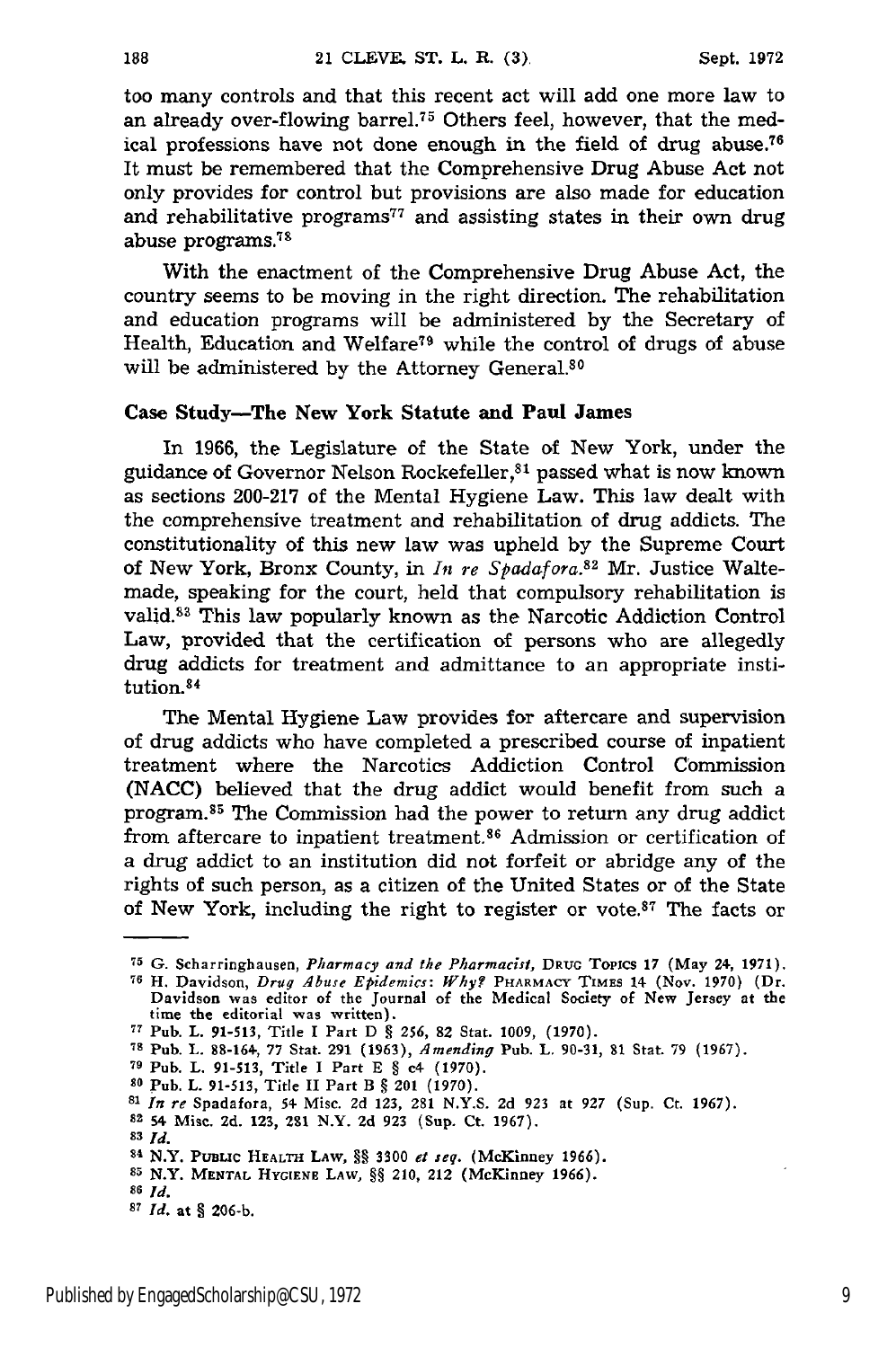too many controls and that this recent act will add one more law to an already over-flowing barrel.<sup>75</sup> Others feel, however, that the medical professions have not done enough in the field of drug abuse.<sup>76</sup> It must be remembered that the Comprehensive Drug Abuse Act not only provides for control but provisions are also made for education and rehabilitative programs $77$  and assisting states in their own drug abuse programs.<sup>78</sup>

With the enactment of the Comprehensive Drug Abuse Act, the country seems to be moving in the right direction. The rehabilitation and education programs will be administered by the Secretary of Health, Education and Welfare79 while the control of drugs of abuse will be administered by the Attorney General.<sup>80</sup>

#### Case Study-The New York Statute and Paul James

In 1966, the Legislature of the State of New York, under the guidance of Governor Nelson Rockefeller,<sup>81</sup> passed what is now known as sections 200-217 of the Mental Hygiene Law. This law dealt with the comprehensive treatment and rehabilitation of drug addicts. The constitutionality of this new law was upheld by the Supreme Court of New York, Bronx County, in *it re Spadafora.8 2* Mr. Justice Waltemade, speaking for the court, held that compulsory rehabilitation is valid.<sup>83</sup> This law popularly known as the Narcotic Addiction Control Law, provided that the certification of persons who are allegedly drug addicts for treatment and admittance to an appropriate institution.<sup>84</sup>

The Mental Hygiene Law provides for aftercare and supervision of drug addicts who have completed a prescribed course of inpatient treatment where the Narcotics Addiction Control Commission (NACC) believed that the drug addict would benefit from such a program.<sup>85</sup> The Commission had the power to return any drug addict from aftercare to inpatient treatment.<sup>86</sup> Admission or certification of a drug addict to an institution did not forfeit or abridge any of the rights of such person, as a citizen of the United States or of the State of New York, including the right to register or vote. $87$  The facts or

- **<sup>79</sup>**Pub. L. 91-513, Title I Part E **§** c4 (1970).
- **<sup>80</sup>**Pub. L. 91-513, Title **II** Part B § 201 (1970).
- **<sup>81</sup>***In re* Spadafora, 54 Misc. 2d 123, 281 **N.Y.S.** 2d **923** at 927 (Sup. Ct. 1967).
- **s2 54** Misc. **2d.** 123, 281 N.Y. 2d **923** (Sup. Ct. 1967).
- *83 Id.*

**<sup>75</sup> G. Scharringhausen,** Pharmacy and the Pharmacist, **DRuG** Topics **17 (May 24, 1971).**

**<sup>76</sup>**H. Davidson, *Drug Abuse Epidemics: Why?* **PHARMACY TIMES** 14 (Nov. 1970) (Dr. Davidson was editor of the Journal of the Medical Society of New Jersey at the time the editorial was written).

**<sup>77</sup>**Pub. L. 91-513, Title I Part D § **256, 82** Stat. 1009, (1970).

**<sup>78</sup> Pub.** L. 88-164, 77 Stat. 291 (1963), *Amending* Pub. L. 90-31, **81** Stat. **79** (1967).

<sup>84</sup> N.Y. **PUBLC HEALTH** LAW, §§ **3300** *et seq.* (McKinney **1966).**

**<sup>85</sup>**N.Y. **MENTAL HyGiENE** LAW, §§ **210, 212** (McKinney **1966).**

**<sup>86</sup>***Id. 87 id.* **at 9 206-b.**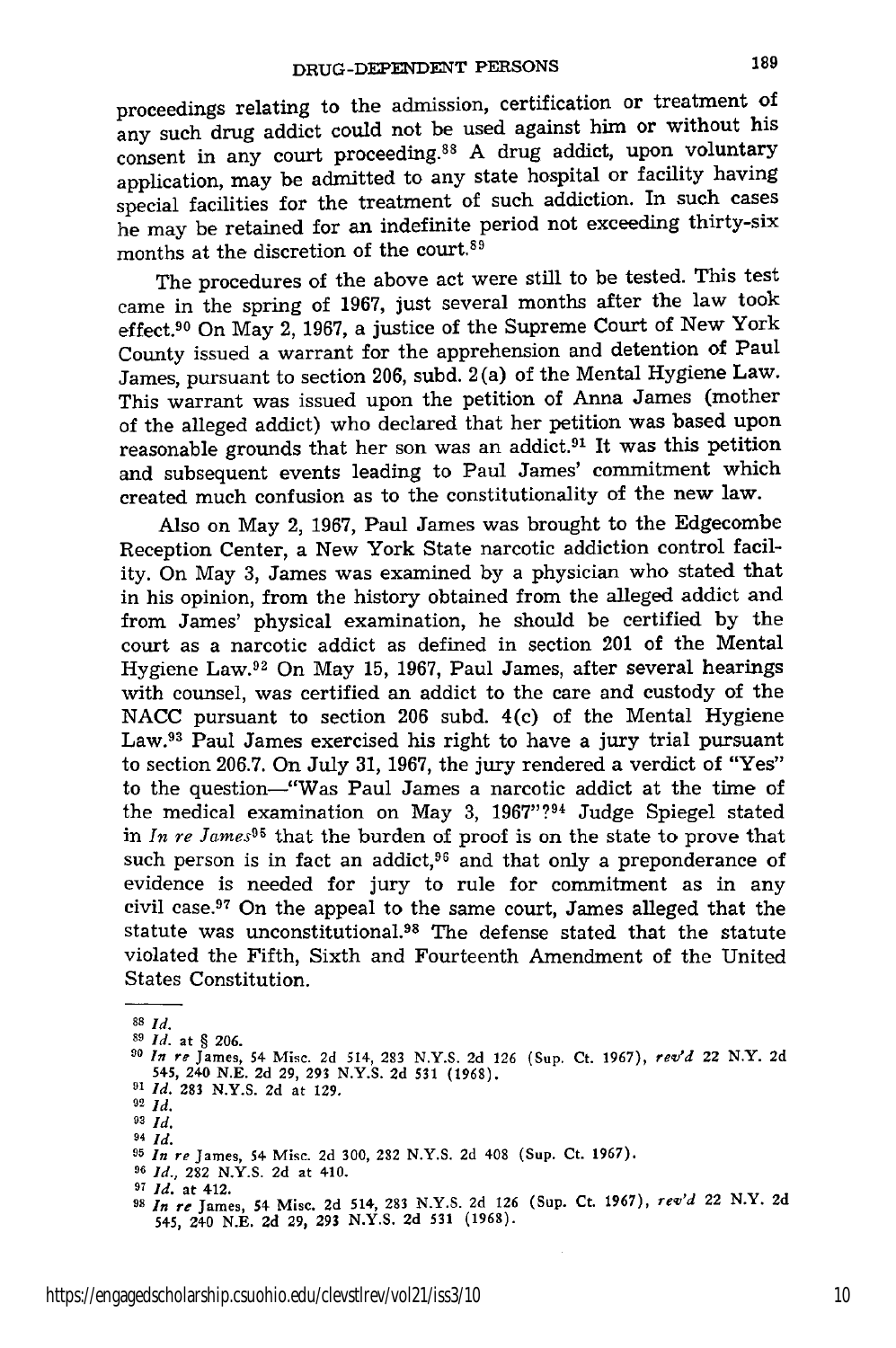proceedings relating to the admission, certification or treatment of any such drug addict could not be used against him or without his consent in any court proceeding.88 A drug addict, upon voluntary application, may be admitted to any state hospital or facility having special facilities for the treatment of such addiction. In such cases he may be retained for an indefinite period not exceeding thirty-six months at the discretion of the court.<sup>89</sup>

The procedures of the above act were still to be tested. This test came in the spring of **1967,** just several months after the law took effect.90 On May 2, **1967,** a justice of the Supreme Court of New York County issued a warrant for the apprehension and detention of Paul James, pursuant to section **206,** subd. 2 (a) of the Mental Hygiene Law. This warrant was issued upon the petition of Anna James (mother of the alleged addict) who declared that her petition was based upon reasonable grounds that her son was an addict.91 It was this petition and subsequent events leading to Paul James' commitment which created much confusion as to the constitutionality of the new law.

Also on May 2, **1967,** Paul James was brought to the Edgecombe Reception Center, a New York State narcotic addiction control facility. On May **3,** James was examined **by** a physician who stated that in his opinion, from the history obtained from the alleged addict and from James' physical examination, he should be certified **by** the court as a narcotic addict as defined in section 201 of the Mental Hygiene Law. 92 On May **15, 1967,** Paul James, after several hearings with counsel, was certified an addict to the care and custody of the **NACC** pursuant to section **206** subd. 4(c) of the Mental Hygiene Law.98 Paul James exercised his right to have a jury trial pursuant to section **206.7.** On July **31, 1967,** the jury rendered a verdict of "Yes" to the question-"Was Paul James a narcotic addict at the time of the medical examination on May 3, **1967"?94** Judge Spiegel stated in  $In \text{ } re \text{ } James95$  that the burden of proof is on the state to prove that such person is in fact an addict, $96$  and that only a preponderance of evidence is needed for jury to rule for commitment as in any civil case. 97 On the appeal to the same court, James alleged that the statute was unconstitutional.<sup>98</sup> The defense stated that the statute violated the Fifth, Sixth and Fourteenth Amendment of the United States Constitution.

**89** *Id.* **at** § **206.**

**<sup>88</sup>** *Id.*

*<sup>90</sup> In re* James, 54 **Misc. 2d** 514, **283 N.Y.S. 2d 126 (Sup. Ct. 1967),** *rev'd* 22 N.Y. **2d 545, 240 N.E. 2d 29, 293 N.Y.S. 2d 531 (1968).**

*<sup>11</sup> Id.* **283 N.Y.S. 2d** at **129, <sup>92</sup>***id.*

*<sup>99</sup> Id.*

*<sup>94</sup> id.*

**<sup>95</sup>** *In re* James, 54 Misc. **2d 300, 282 N.Y.S. 2d** 408 (Sup. **Ct. 1967).**

*<sup>96</sup> Id.,* **282 N.Y.S. 2d** at 410.

*<sup>97</sup> Id.* at 412.

**<sup>18</sup>***In re* James, **54** Misc. **2d** 514, **283 N.Y.S. 2d 126** (Sup. **Ct. 1967),** *rev'd* 22 N.Y. **2d 545,** 240 **N.E. 2d 29, 293 N.Y.S. 2d 531 (1968).**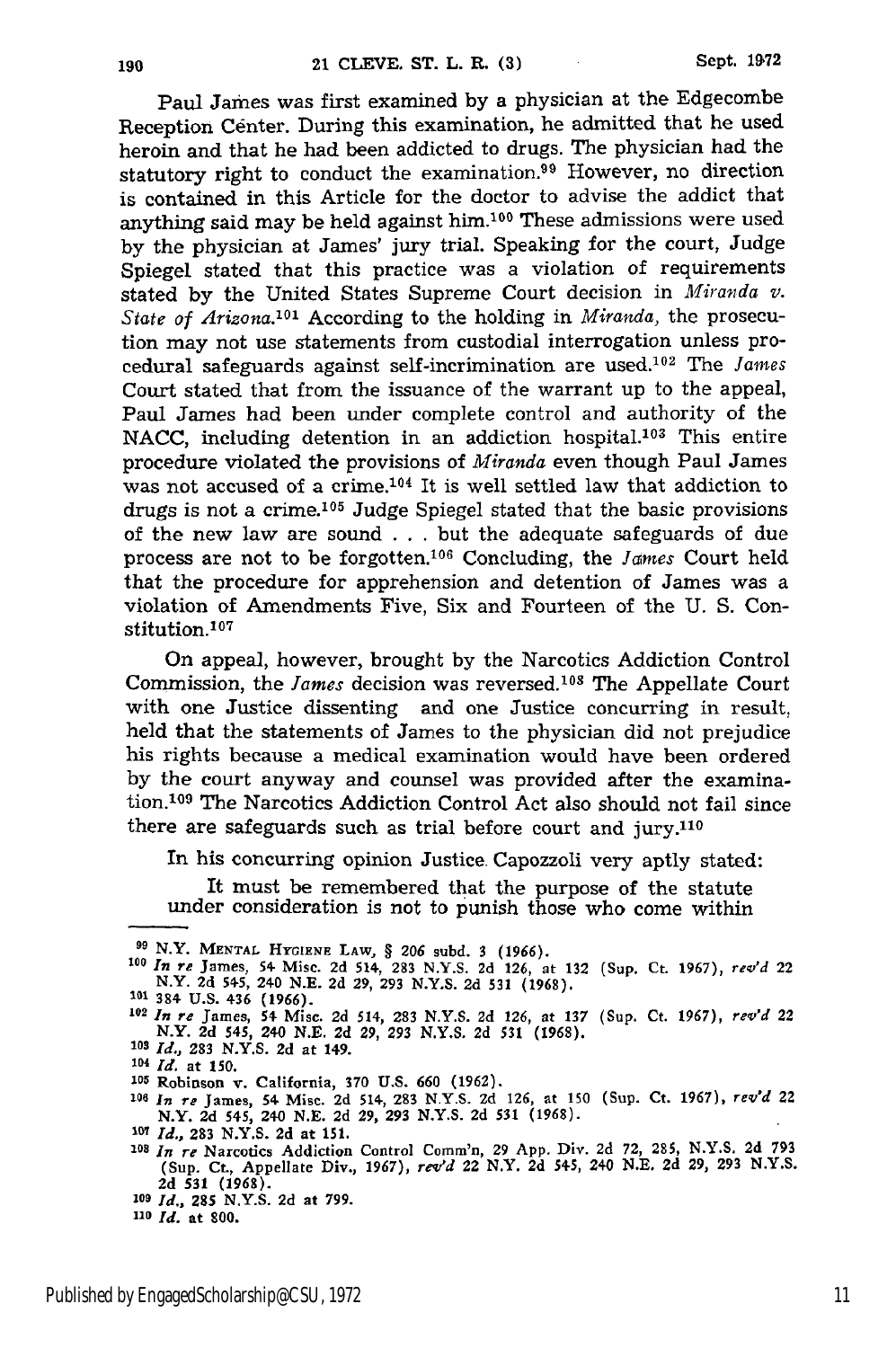Paul James was first examined by a physician at the Edgecombe Reception Center. During this examination, he admitted that he used heroin and that he had been addicted to drugs. The physician had the statutory right to conduct the examination.<sup>99</sup> However, no direction is contained in this Article for the doctor to advise the addict that anything said may be held against him.100 These admissions were used by the physician at James' jury trial. Speaking for the court, Judge Spiegel stated that this practice was a violation of requirements stated by the United States Supreme Court decision in *Miranda v.* State of Arizona.<sup>101</sup> According to the holding in *Miranda*, the prosecution may not use statements from custodial interrogation unless procedural safeguards against self-incrimination are used.<sup>102</sup> The *James* Court stated that from the issuance of the warrant up to the appeal, Paul James had been under complete control and authority of the NACC, including detention in an addiction hospital.<sup>103</sup> This entire procedure violated the provisions of *Miranda* even though Paul James was not accused of a crime.104 It is well settled law that addiction to drugs is not a crime.<sup>105</sup> Judge Spiegel stated that the basic provisions of the new law are sound . **..** but the adequate safeguards of due process are not to be forgotten.<sup>106</sup> Concluding, the *James* Court held that the procedure for apprehension and detention of James was a violation of Amendments Five, Six and Fourteen of the U. S. Constitution.<sup>107</sup>

On appeal, however, brought by the Narcotics Addiction Control Commission, the *James* decision was reversed.<sup>108</sup> The Appellate Court with one Justice dissenting and one Justice concurring in result, held that the statements of James to the physician did not prejudice his rights because a medical examination would have been ordered by the court anyway and counsel was provided after the examination.<sup>109</sup> The Narcotics Addiction Control Act also should not fail since there are safeguards such as trial before court and jury.110

In his concurring opinion Justice Capozzoli very aptly stated:

It must be remembered that the purpose of the statute under consideration is not to punish those who come within

**<sup>0</sup>** N.Y. **MENTAL HYGIENE** LAW, **§ 206** subd. 3 **(1966).**

**<sup>109</sup>***In re* James, 54. Misc. 2d 514, **283** N.Y.S. **2d** 126, at 132 (Sup. Ct. 1967), *rev'd* 22 N.Y. 2d 54-5, 240 N.E. **2d** 29, 293 N.Y.S. 2d **531** (1968).

**<sup>101</sup>** 384- **U.S.** 436 **(1966).**

**<sup>102</sup>***In re* James, 54- Misc. 2d 514, **283 N.Y.S.** 2d **126,** at **137** (Sup. Ct. **1967),** *rev'd* 22 N.Y. 2d 545, 240 N.E. 2d 29, **293** N.Y.S. 2d 531 (1968). **<sup>108</sup>***Id.,* **283 N.Y.S. 2d** at 149.

*<sup>101</sup> Id.* at **150.**

**<sup>105</sup>**Robinson v. California, **370** U.S. **660 (1962).**

**<sup>106</sup>***In re* James, 54 Misc. 2d 514, **283 N.Y.S.** 2d 126, **at** 150 (Sup. Ct. **1967),** *rev'd* <sup>22</sup> N.Y. 2d 545, 24-0 N.E. 2d 29, **293** N.Y.S. 2d **531** (1968).

**<sup>3-</sup>** *Id.,* **283** N.Y.S. 2d at 151.

**<sup>108</sup>***In re* Narcotics Addiction Control Comm'n, **29** App. Div. 2d 72, 285, N.Y.S. **2d 793** (Sup. Ct., Appellate Div., 1967), *revd* 22 N.Y. 2d **5+5,** 240 **N.E. 2d** 29, **293** N.Y.S. **2d 531 (1968).**

*<sup>20</sup>Id.,* **285** N.Y.S. 2d at 799.

*<sup>110</sup> Id.* at **800.**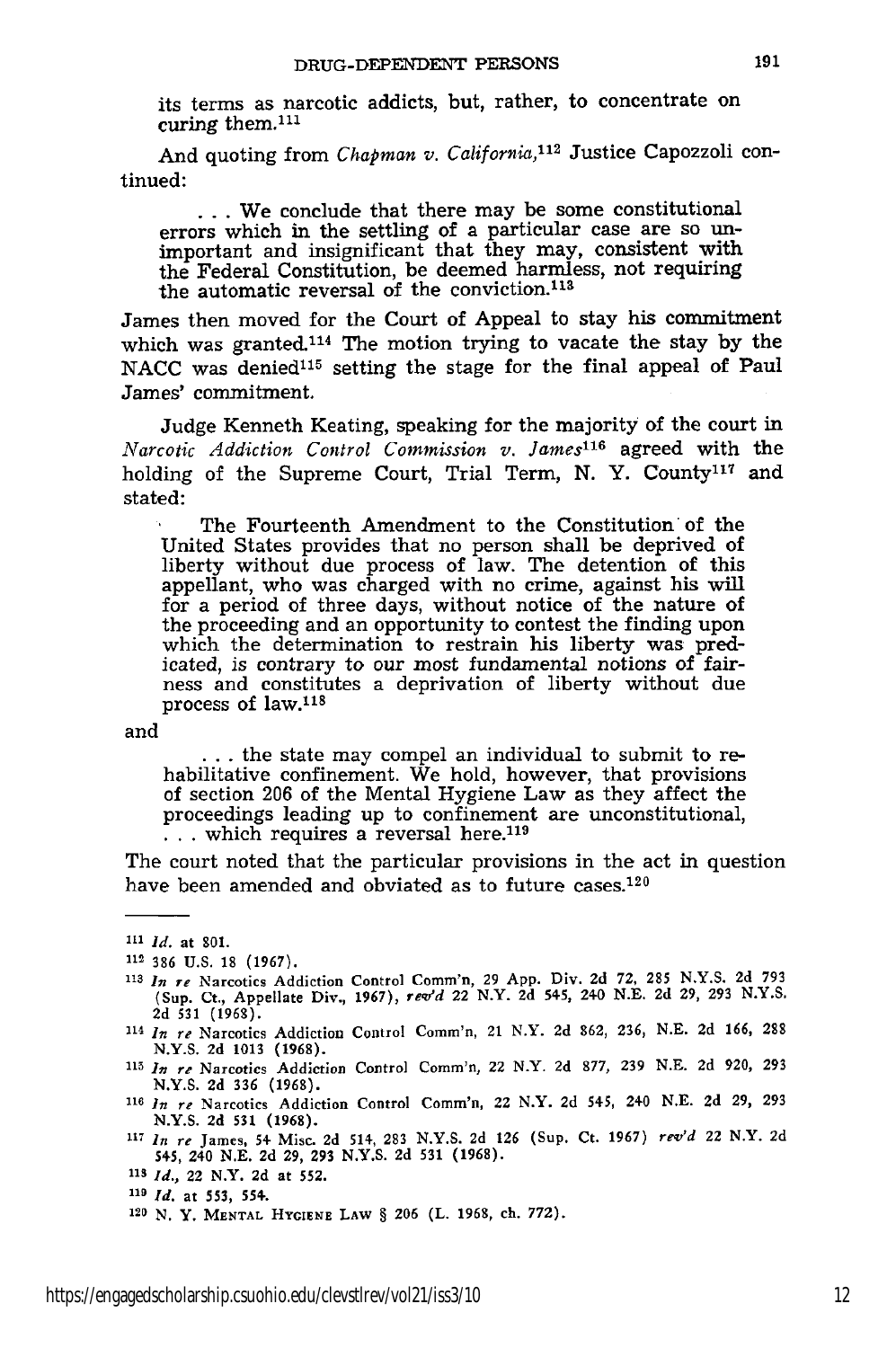its terms as narcotic addicts, but, rather, to concentrate on curing them. $^{111}$ 

And quoting from *Chapman v. California,112* Justice Capozzoli continued:

**...** We conclude that there may be some constitutional errors which in the settling of a particular case are so unimportant and insignificant that they may, consistent with the Federal Constitution, be deemed harmless, not requiring the automatic reversal of the conviction.<sup>113</sup>

James then moved for the Court of Appeal to stay his commitment which was granted.114 The motion trying to vacate the stay by the NACC was denied<sup>115</sup> setting the stage for the final appeal of Paul James' commitment.

Judge Kenneth Keating, speaking for the majority of the court in *Narcotic Addiction Control Commission v. James <sup>16</sup>*agreed with the holding of the Supreme Court, Trial Term, N. Y. County<sup>117</sup> and stated:

The Fourteenth Amendment to the Constitution of the United States provides that no person shall be deprived of liberty without due process of law. The detention of this appellant, who was charged with no crime, against his will for a period of three days, without notice of the nature of the proceeding and an opportunity to contest the finding upon which the determination to restrain his liberty was predicated, is contrary to our most fundamental notions of fairness and constitutes a deprivation of liberty without due process of law.118

and

**...** the state may compel an individual to submit to rehabilitative confinement. We hold, however, that provisions of section 206 of the Mental Hygiene Law as they affect the proceedings leading up to confinement are unconstitutional, ... which requires a reversal here.<sup>119</sup>

The court noted that the particular provisions in the act in question have been amended and obviated as to future cases.<sup>120</sup>

- **<sup>113</sup>***In re* Narcotics Addiction Control Comm'n, 29 **App.** Div. 2d **72, 285** N.Y.S. 2d 793 (Sup. Ct., Appellate Div., 1967), *rwd* 22 N.Y. 2d 545, 240 **N.E.** 2d **29, 293 N.Y.S. 2d 531 (1968).**
- **<sup>114</sup>***In re* Narcotics Addiction Control Comm'n, 21 N.Y. 2d 862, **236, N.E.** 2d 166, 288 **N.Y.S. 2d** 1013 **(1968).**
- **<sup>115</sup>***In re* Narcotics Addiction Control Comm'n, 22 N.Y. 2d 877, **239 N.E.** 2d 920, **293 N.Y.S. 2d 336 (1968).**
- **<sup>116</sup>***In re* Narcotics Addiction Control Comm'n, 22 N.Y. 2d 545, 240 **N.E. 2d** 29, 293 **N.Y.S.** 2d 531 **(1968).**
- **<sup>117</sup>***In re* James, 54 Misc. **2d** 514, **283 N.Y.S. 2d 126** (Sup. Ct. 1967) *re'd* 22 N.Y. **2d** 545, 240 **N.E.** 2d 29, 293 **N.Y.S.** 2d **531** (1968).
- **1s** *Id.,* 22 N.Y. 2d at **552.**

**<sup>1&</sup>quot;1** *Id.* at **801.**

**<sup>112 386</sup> U.S. 18** (1967).

**<sup>119</sup>***Id.* **at 553,** 554.

**<sup>120</sup> N. Y. MENTAL HYGIENE LAW** § **206** (L. **1968,** ch. **772).**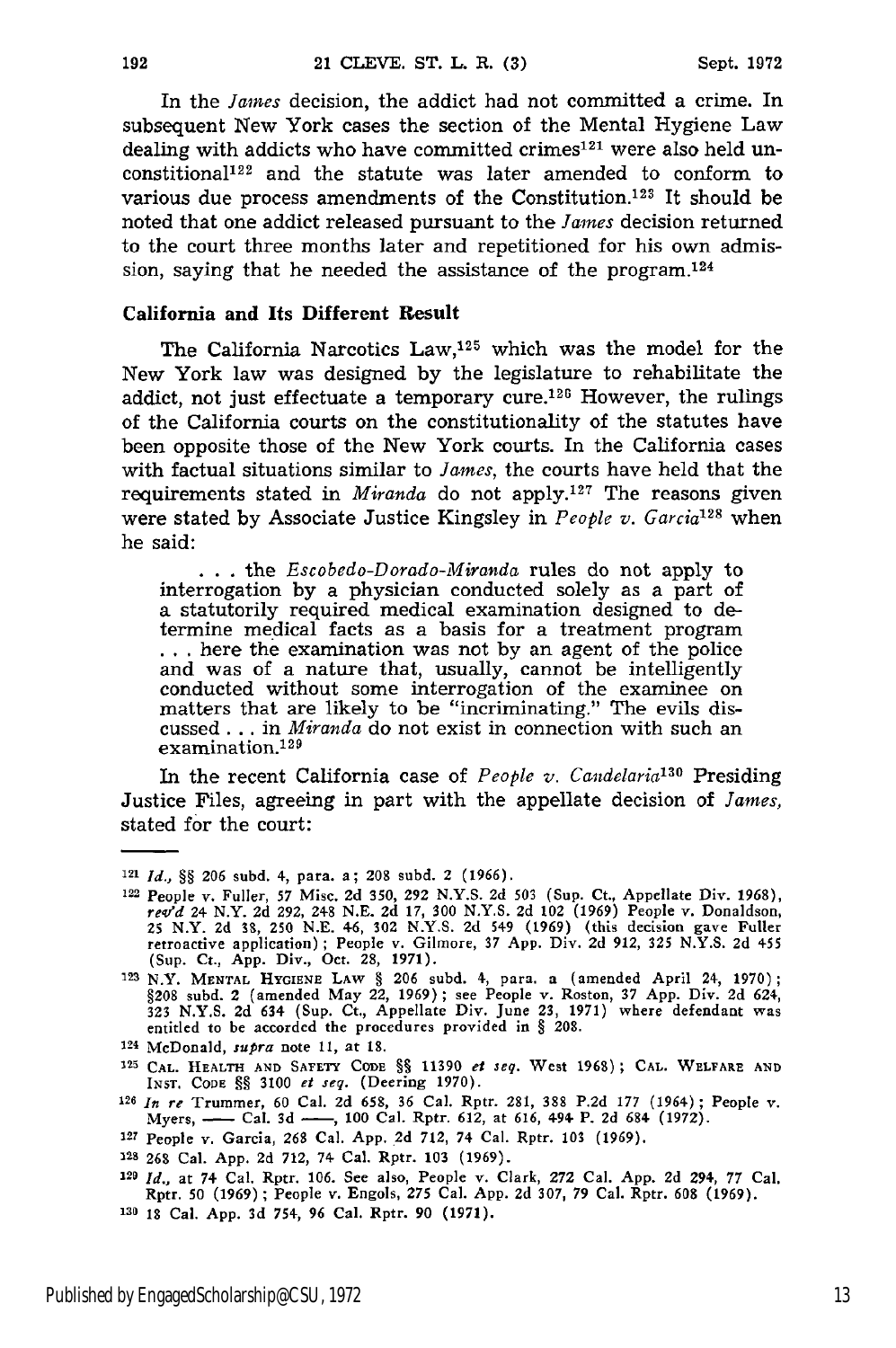In the *James* decision, the addict had not committed a crime. In subsequent New York cases the section of the Mental Hygiene Law dealing with addicts who have committed crimes<sup>121</sup> were also held unconstitional<sup>122</sup> and the statute was later amended to conform to various due process amendments of the Constitution.<sup>123</sup> It should be noted that one addict released pursuant to the *James* decision returned to the court three months later and repetitioned for his own admission, saying that he needed the assistance of the program.<sup>124</sup>

#### California and **Its Different Result**

The California Narcotics  $Law<sub>125</sub>$  which was the model for the New York law was designed by the legislature to rehabilitate the addict, not just effectuate a temporary cure. $126$  However, the rulings of the California courts on the constitutionality of the statutes have been opposite those of the New York courts. In the California cases with factual situations similar to *James,* the courts have held that the requirements stated in *Miranda* do not apply.<sup>127</sup> The reasons given were stated by Associate Justice Kingsley in *People v. Garcia*<sup>128</sup> when he said:

**. . .** the *Escobedo-Dorado-Miranda* rules do not apply to interrogation by a physician conducted solely as a part of a statutorily required medical examination designed to de-... here the examination was not by an agent of the police and was of a nature that, usually, cannot be intelligently conducted without some interrogation of the examinee or matters that are likely to be "incriminating." The evils discussed. .. in *Miranda* do not exist in connection with such an examination.<sup>129</sup>

In the recent California case of *People v. Candelaria"30* Presiding Justice Files, agreeing in part with the appellate decision of *James,* stated for the court:

- 224 McDonald, *supra* note 11, at **18.**
- **125 CAL.** HEALTH **AND** SAFETY CODE **§§** 11390 *el seq.* West 1960) **; CAL.** WELFARE **ANO** INST. CODE **§§** 3100 *et seq.* (Deering **1970).**
- *<sup>126</sup>In re* Trummer, 60 Cal. 2d 658, 36 Cal. Rptr. 281, **388** P.2d 177 (1964) ; People v. Myers, **-** Cal. **3d -,** 100 Cal. Rptr. 612, at 616, 494. P. **2d** 684 (1972).
- **<sup>127</sup>**People v. Garcia, **268** Cal. App. **.2d** 712, 74 Cal. Rptr. **103** (1969).

<sup>121</sup>*Id., §§* **206** subd. 4, para. a; 208 subd. 2 **(1966).**

<sup>122</sup> People v. Fuller, *57* Misc. 2d **350, 292** N.Y.S. 2d **503** (Sup. Ct., Appellate Div. **1968),** rev'd 24 N.Y. 2d 292, 248 N.E. 2d 17, 300 N.Y.S. 2d 102 (1969) People v. Donaldson<br>25 N.Y. 2d 38, 250 N.E. 46, 302 N.Y.S. 2d 549 (1969) (this decision gave Fuller<br>retroactive application); People v. Gilmore, 37 App. Div. 2

**<sup>12</sup>**N.Y. **MENTAL HYGiENE** LAW § 206 subd. 4, para. a (amended April 24, 1970) §208 subd. 2 (amended May 22, 1969); see People v. Roston, 37 App. Div. 2d 624, 323 N.Y.S. 2d 634 (Sup. Ct., Appellate Div. June 23, 1971) where defendant was entitled to be accorded the procedures provided in § 208.

<sup>&#</sup>x27;28 **26S** Cal. App. **2d** 712, 74 Cal. Rptr. 103 (1969).

**<sup>220</sup>***Id.,* at 74 Cal. Rptr. 106. See also, People v. Clark, 272 Cal. App. 2d 294, 77 Cal. Rptr. **50** (1969) **;** People *v.* Engols, 275 Cal. App. 2d 307, 79 Cal. Rptr. **608** (1969). **130 18** Cal. App. 3d 754, **96** Cal. Rptr. 90 (1971).